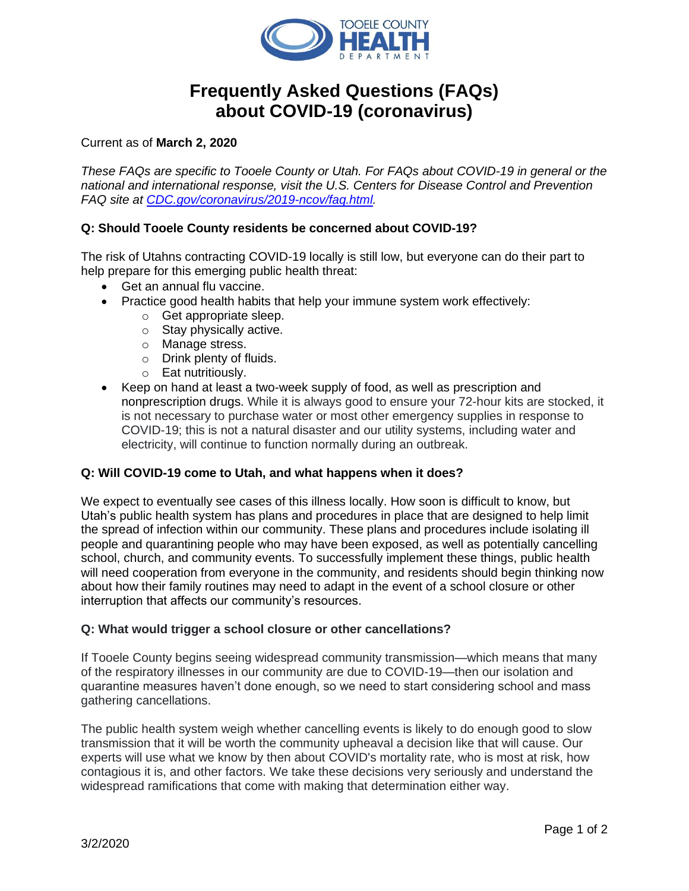

# **Frequently Asked Questions (FAQs) about COVID-19 (coronavirus)**

Current as of **March 2, 2020**

*These FAQs are specific to Tooele County or Utah. For FAQs about COVID-19 in general or the national and international response, visit the U.S. Centers for Disease Control and Prevention FAQ site at [CDC.gov/coronavirus/2019-ncov/faq.html.](http://www.cdc.gov/coronavirus/2019-ncov/faq.html)* 

## **Q: Should Tooele County residents be concerned about COVID-19?**

The risk of Utahns contracting COVID-19 locally is still low, but everyone can do their part to help prepare for this emerging public health threat:

- Get an annual flu vaccine.
- Practice good health habits that help your immune system work effectively:
	- o Get appropriate sleep.
	- o Stay physically active.
	- o Manage stress.
	- o Drink plenty of fluids.
	- o Eat nutritiously.
- Keep on hand at least a two-week supply of food, as well as prescription and nonprescription drugs. While it is always good to ensure your 72-hour kits are stocked, it is not necessary to purchase water or most other emergency supplies in response to COVID-19; this is not a natural disaster and our utility systems, including water and electricity, will continue to function normally during an outbreak.

#### **Q: Will COVID-19 come to Utah, and what happens when it does?**

We expect to eventually see cases of this illness locally. How soon is difficult to know, but Utah's public health system has plans and procedures in place that are designed to help limit the spread of infection within our community. These plans and procedures include isolating ill people and quarantining people who may have been exposed, as well as potentially cancelling school, church, and community events. To successfully implement these things, public health will need cooperation from everyone in the community, and residents should begin thinking now about how their family routines may need to adapt in the event of a school closure or other interruption that affects our community's resources.

#### **Q: What would trigger a school closure or other cancellations?**

If Tooele County begins seeing widespread community transmission—which means that many of the respiratory illnesses in our community are due to COVID-19—then our isolation and quarantine measures haven't done enough, so we need to start considering school and mass gathering cancellations.

The public health system weigh whether cancelling events is likely to do enough good to slow transmission that it will be worth the community upheaval a decision like that will cause. Our experts will use what we know by then about COVID's mortality rate, who is most at risk, how contagious it is, and other factors. We take these decisions very seriously and understand the widespread ramifications that come with making that determination either way.